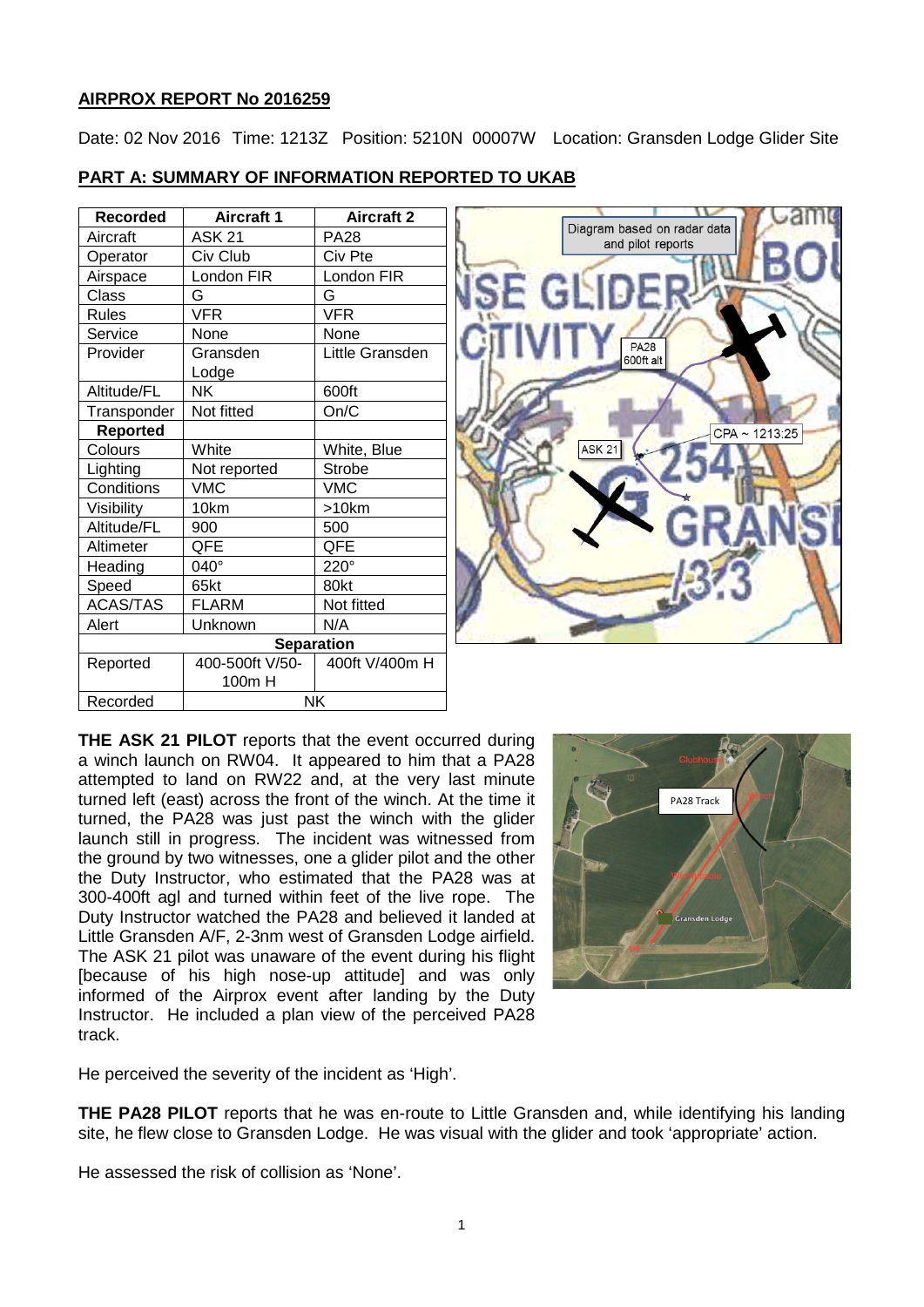# **AIRPROX REPORT No 2016259**

Date: 02 Nov 2016 Time: 1213Z Position: 5210N 00007W Location: Gransden Lodge Glider Site

## **PART A: SUMMARY OF INFORMATION REPORTED TO UKAB**

| <b>Recorded</b> | <b>Aircraft 1</b> | <b>Aircraft 2</b> |
|-----------------|-------------------|-------------------|
| Aircraft        | <b>ASK 21</b>     | <b>PA28</b>       |
| Operator        | Civ Club          | Civ Pte           |
| Airspace        | London FIR        | London FIR        |
| Class           | G                 | G                 |
| <b>Rules</b>    | <b>VFR</b>        | <b>VFR</b>        |
| Service         | None              | None              |
| Provider        | Gransden          | Little Gransden   |
|                 | Lodge             |                   |
| Altitude/FL     | NΚ                | 600ft             |
| Transponder     | Not fitted        | On/C              |
| <b>Reported</b> |                   |                   |
| Colours         | White             | White, Blue       |
| Lighting        | Not reported      | <b>Strobe</b>     |
| Conditions      | <b>VMC</b>        | <b>VMC</b>        |
| Visibility      | 10km              | >10km             |
| Altitude/FL     | 900               | 500               |
| Altimeter       | QFE               | QFE               |
| Heading         | 040°              | $220^\circ$       |
| Speed           | 65kt              | 80kt              |
| <b>ACAS/TAS</b> | FLARM             | Not fitted        |
| Alert           | Unknown           | N/A               |
|                 | <b>Separation</b> |                   |
| Reported        | 400-500ft V/50-   | 400ft V/400m H    |
|                 | 100m H            |                   |
| Recorded        | <b>NK</b>         |                   |



**THE ASK 21 PILOT** reports that the event occurred during a winch launch on RW04. It appeared to him that a PA28 attempted to land on RW22 and, at the very last minute turned left (east) across the front of the winch. At the time it turned, the PA28 was just past the winch with the glider launch still in progress. The incident was witnessed from the ground by two witnesses, one a glider pilot and the other the Duty Instructor, who estimated that the PA28 was at 300-400ft agl and turned within feet of the live rope. The Duty Instructor watched the PA28 and believed it landed at Little Gransden A/F, 2-3nm west of Gransden Lodge airfield. The ASK 21 pilot was unaware of the event during his flight [because of his high nose-up attitude] and was only informed of the Airprox event after landing by the Duty Instructor. He included a plan view of the perceived PA28 track.



He perceived the severity of the incident as 'High'.

**THE PA28 PILOT** reports that he was en-route to Little Gransden and, while identifying his landing site, he flew close to Gransden Lodge. He was visual with the glider and took 'appropriate' action.

He assessed the risk of collision as 'None'.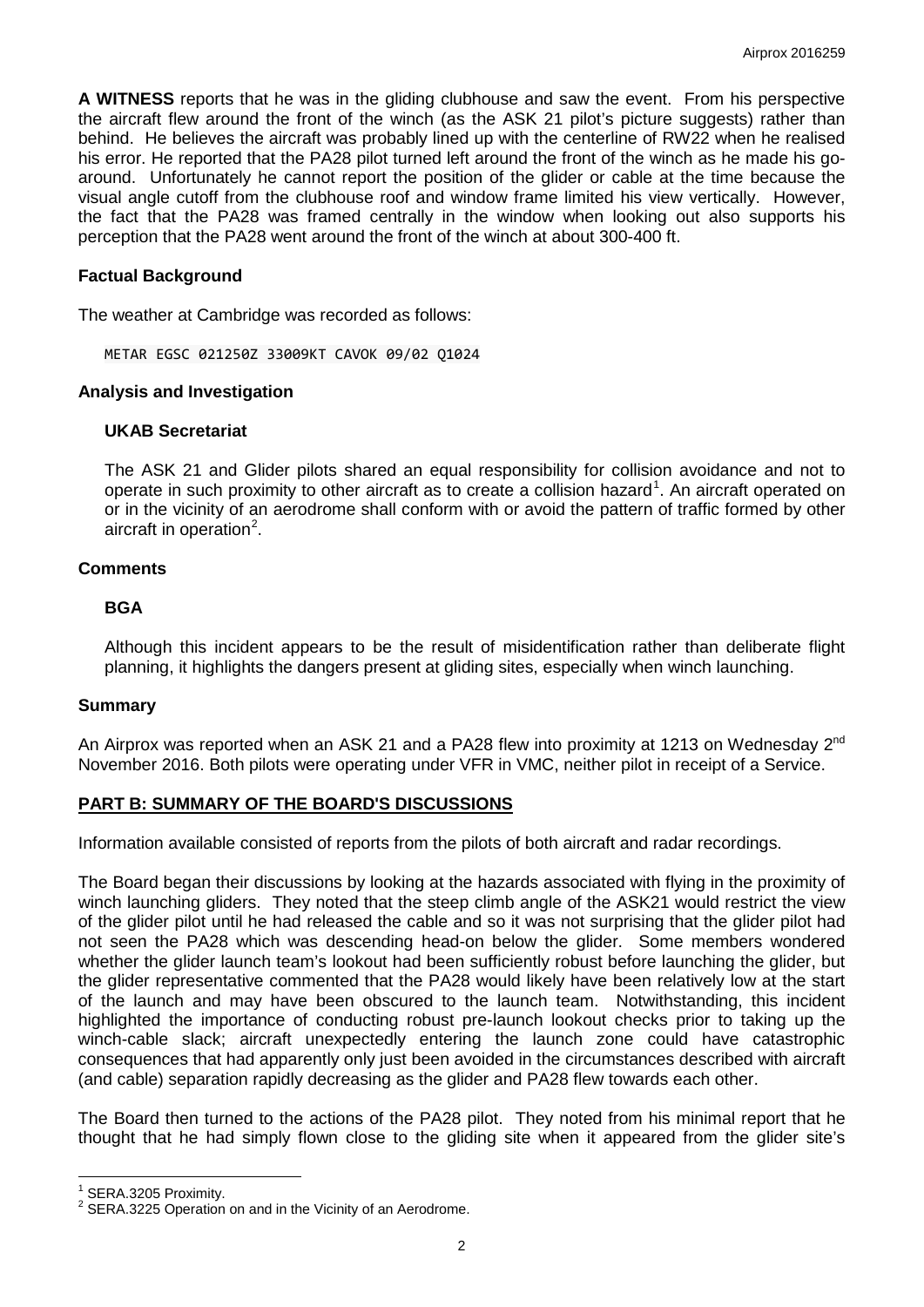**A WITNESS** reports that he was in the gliding clubhouse and saw the event. From his perspective the aircraft flew around the front of the winch (as the ASK 21 pilot's picture suggests) rather than behind. He believes the aircraft was probably lined up with the centerline of RW22 when he realised his error. He reported that the PA28 pilot turned left around the front of the winch as he made his goaround. Unfortunately he cannot report the position of the glider or cable at the time because the visual angle cutoff from the clubhouse roof and window frame limited his view vertically. However, the fact that the PA28 was framed centrally in the window when looking out also supports his perception that the PA28 went around the front of the winch at about 300-400 ft.

### **Factual Background**

The weather at Cambridge was recorded as follows:

METAR EGSC 021250Z 33009KT CAVOK 09/02 Q1024

#### **Analysis and Investigation**

#### **UKAB Secretariat**

The ASK 21 and Glider pilots shared an equal responsibility for collision avoidance and not to operate in such proximity to other aircraft as to create a collision hazard<sup>[1](#page-1-0)</sup>. An aircraft operated on or in the vicinity of an aerodrome shall conform with or avoid the pattern of traffic formed by other aircraft in operation<sup>[2](#page-1-1)</sup>.

### **Comments**

### **BGA**

Although this incident appears to be the result of misidentification rather than deliberate flight planning, it highlights the dangers present at gliding sites, especially when winch launching.

### **Summary**

An Airprox was reported when an ASK 21 and a PA28 flew into proximity at 1213 on Wednesday  $2^{nd}$ November 2016. Both pilots were operating under VFR in VMC, neither pilot in receipt of a Service.

### **PART B: SUMMARY OF THE BOARD'S DISCUSSIONS**

Information available consisted of reports from the pilots of both aircraft and radar recordings.

The Board began their discussions by looking at the hazards associated with flying in the proximity of winch launching gliders. They noted that the steep climb angle of the ASK21 would restrict the view of the glider pilot until he had released the cable and so it was not surprising that the glider pilot had not seen the PA28 which was descending head-on below the glider. Some members wondered whether the glider launch team's lookout had been sufficiently robust before launching the glider, but the glider representative commented that the PA28 would likely have been relatively low at the start of the launch and may have been obscured to the launch team. Notwithstanding, this incident highlighted the importance of conducting robust pre-launch lookout checks prior to taking up the winch-cable slack; aircraft unexpectedly entering the launch zone could have catastrophic consequences that had apparently only just been avoided in the circumstances described with aircraft (and cable) separation rapidly decreasing as the glider and PA28 flew towards each other.

The Board then turned to the actions of the PA28 pilot. They noted from his minimal report that he thought that he had simply flown close to the gliding site when it appeared from the glider site's

l

<span id="page-1-1"></span>

<span id="page-1-0"></span><sup>&</sup>lt;sup>1</sup> SERA.3205 Proximity.<br><sup>2</sup> SERA.3225 Operation on and in the Vicinity of an Aerodrome.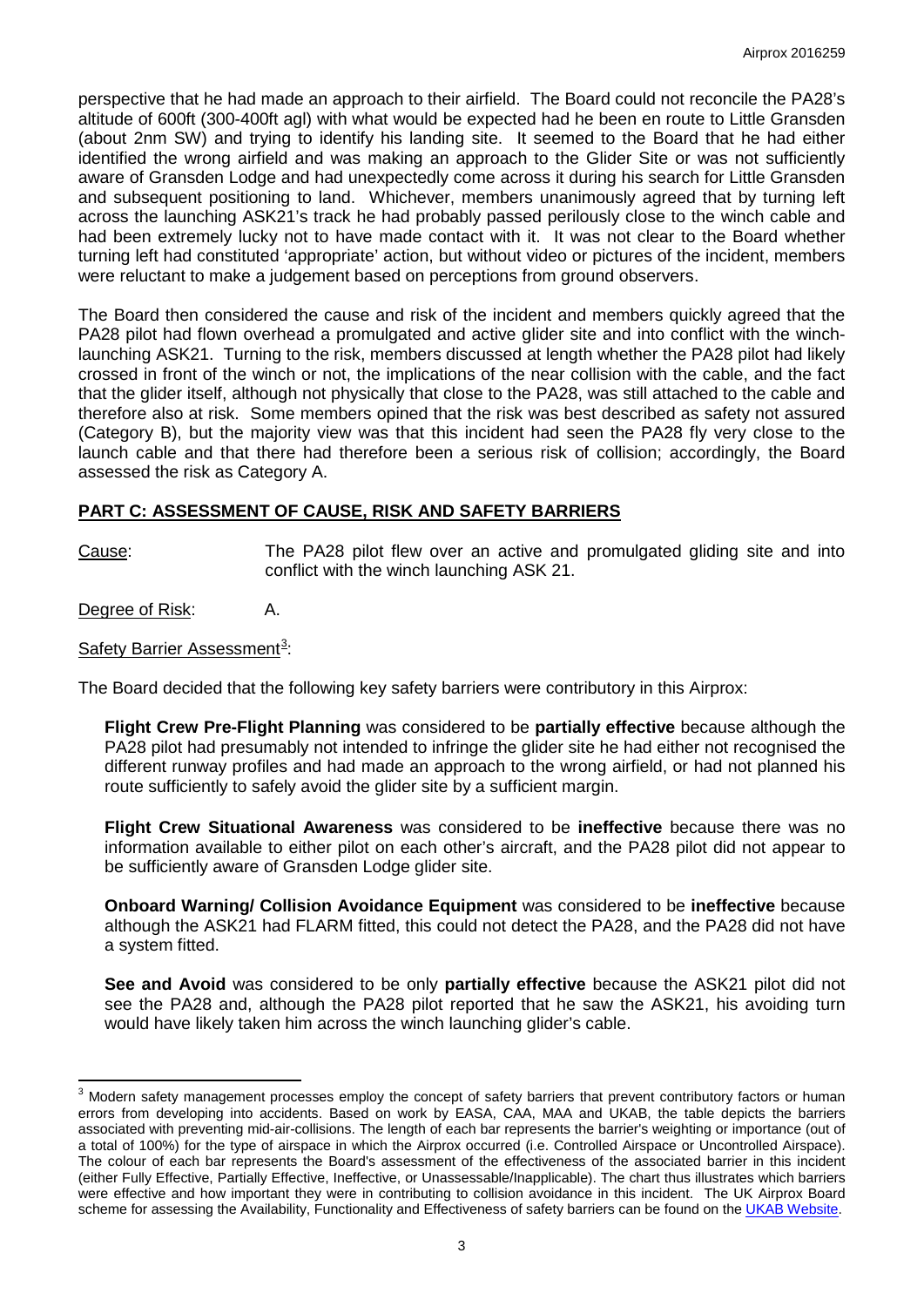perspective that he had made an approach to their airfield. The Board could not reconcile the PA28's altitude of 600ft (300-400ft agl) with what would be expected had he been en route to Little Gransden (about 2nm SW) and trying to identify his landing site. It seemed to the Board that he had either identified the wrong airfield and was making an approach to the Glider Site or was not sufficiently aware of Gransden Lodge and had unexpectedly come across it during his search for Little Gransden and subsequent positioning to land. Whichever, members unanimously agreed that by turning left across the launching ASK21's track he had probably passed perilously close to the winch cable and had been extremely lucky not to have made contact with it. It was not clear to the Board whether turning left had constituted 'appropriate' action, but without video or pictures of the incident, members were reluctant to make a judgement based on perceptions from ground observers.

The Board then considered the cause and risk of the incident and members quickly agreed that the PA28 pilot had flown overhead a promulgated and active glider site and into conflict with the winchlaunching ASK21. Turning to the risk, members discussed at length whether the PA28 pilot had likely crossed in front of the winch or not, the implications of the near collision with the cable, and the fact that the glider itself, although not physically that close to the PA28, was still attached to the cable and therefore also at risk. Some members opined that the risk was best described as safety not assured (Category B), but the majority view was that this incident had seen the PA28 fly very close to the launch cable and that there had therefore been a serious risk of collision; accordingly, the Board assessed the risk as Category A.

# **PART C: ASSESSMENT OF CAUSE, RISK AND SAFETY BARRIERS**

Cause: The PA28 pilot flew over an active and promulgated gliding site and into conflict with the winch launching ASK 21.

Degree of Risk: A.

The Board decided that the following key safety barriers were contributory in this Airprox:

**Flight Crew Pre-Flight Planning** was considered to be **partially effective** because although the PA28 pilot had presumably not intended to infringe the glider site he had either not recognised the different runway profiles and had made an approach to the wrong airfield, or had not planned his route sufficiently to safely avoid the glider site by a sufficient margin.

**Flight Crew Situational Awareness** was considered to be **ineffective** because there was no information available to either pilot on each other's aircraft, and the PA28 pilot did not appear to be sufficiently aware of Gransden Lodge glider site.

**Onboard Warning/ Collision Avoidance Equipment** was considered to be **ineffective** because although the ASK21 had FLARM fitted, this could not detect the PA28, and the PA28 did not have a system fitted.

**See and Avoid** was considered to be only **partially effective** because the ASK21 pilot did not see the PA28 and, although the PA28 pilot reported that he saw the ASK21, his avoiding turn would have likely taken him across the winch launching glider's cable.

Safety Barrier Assessment<sup>[3](#page-2-0)</sup>:

<span id="page-2-0"></span>l <sup>3</sup> Modern safety management processes employ the concept of safety barriers that prevent contributory factors or human errors from developing into accidents. Based on work by EASA, CAA, MAA and UKAB, the table depicts the barriers associated with preventing mid-air-collisions. The length of each bar represents the barrier's weighting or importance (out of a total of 100%) for the type of airspace in which the Airprox occurred (i.e. Controlled Airspace or Uncontrolled Airspace). The colour of each bar represents the Board's assessment of the effectiveness of the associated barrier in this incident (either Fully Effective, Partially Effective, Ineffective, or Unassessable/Inapplicable). The chart thus illustrates which barriers were effective and how important they were in contributing to collision avoidance in this incident. The UK Airprox Board scheme for assessing the Availability, Functionality and Effectiveness of safety barriers can be found on th[e UKAB Website.](http://www.airproxboard.org.uk/Learn-more/Airprox-Barrier-Assessment/)